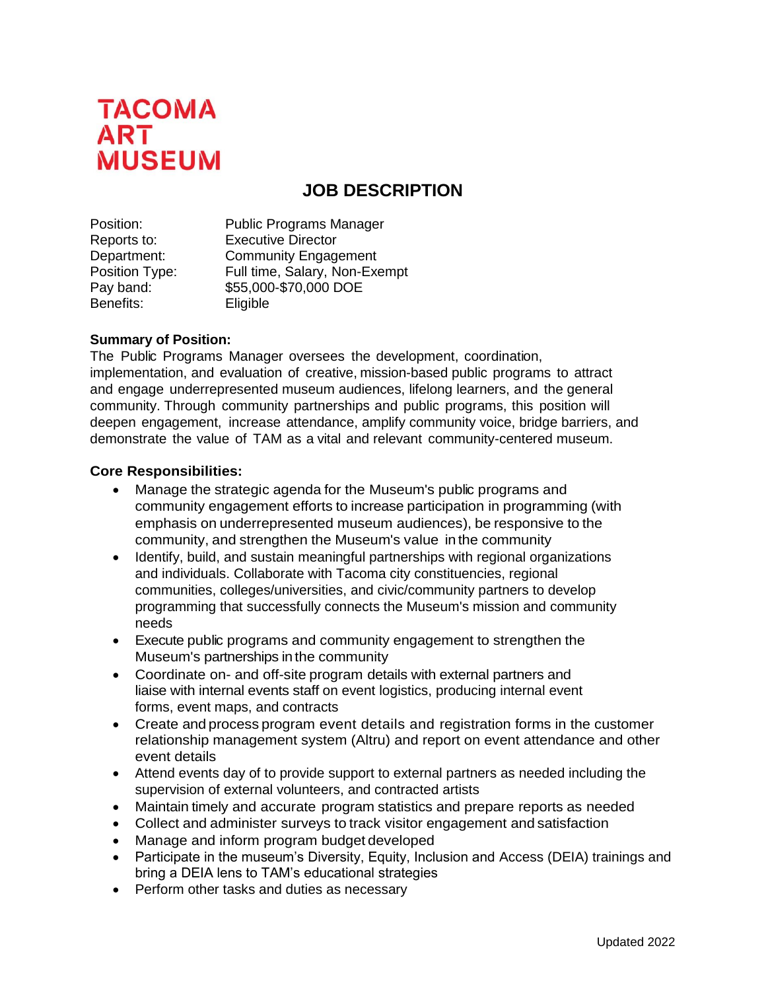

# **JOB DESCRIPTION**

| Position:      | <b>Public Programs Manager</b> |
|----------------|--------------------------------|
| Reports to:    | <b>Executive Director</b>      |
| Department:    | <b>Community Engagement</b>    |
| Position Type: | Full time, Salary, Non-Exempt  |
| Pay band:      | \$55,000-\$70,000 DOE          |
| Benefits:      | Eligible                       |

## **Summary of Position:**

The Public Programs Manager oversees the development, coordination, implementation, and evaluation of creative, mission-based public programs to attract and engage underrepresented museum audiences, lifelong learners, and the general community. Through community partnerships and public programs, this position will deepen engagement, increase attendance, amplify community voice, bridge barriers, and demonstrate the value of TAM as a vital and relevant community-centered museum.

#### **Core Responsibilities:**

- Manage the strategic agenda for the Museum's public programs and community engagement efforts to increase participation in programming (with emphasis on underrepresented museum audiences), be responsive to the community, and strengthen the Museum's value in the community
- Identify, build, and sustain meaningful partnerships with regional organizations and individuals. Collaborate with Tacoma city constituencies, regional communities, colleges/universities, and civic/community partners to develop programming that successfully connects the Museum's mission and community needs
- Execute public programs and community engagement to strengthen the Museum's partnerships in the community
- Coordinate on- and off-site program details with external partners and liaise with internal events staff on event logistics, producing internal event forms, event maps, and contracts
- Create and process program event details and registration forms in the customer relationship management system (Altru) and report on event attendance and other event details
- Attend events day of to provide support to external partners as needed including the supervision of external volunteers, and contracted artists
- Maintain timely and accurate program statistics and prepare reports as needed
- Collect and administer surveys to track visitor engagement and satisfaction
- Manage and inform program budget developed
- Participate in the museum's Diversity, Equity, Inclusion and Access (DEIA) trainings and bring a DEIA lens to TAM's educational strategies
- Perform other tasks and duties as necessary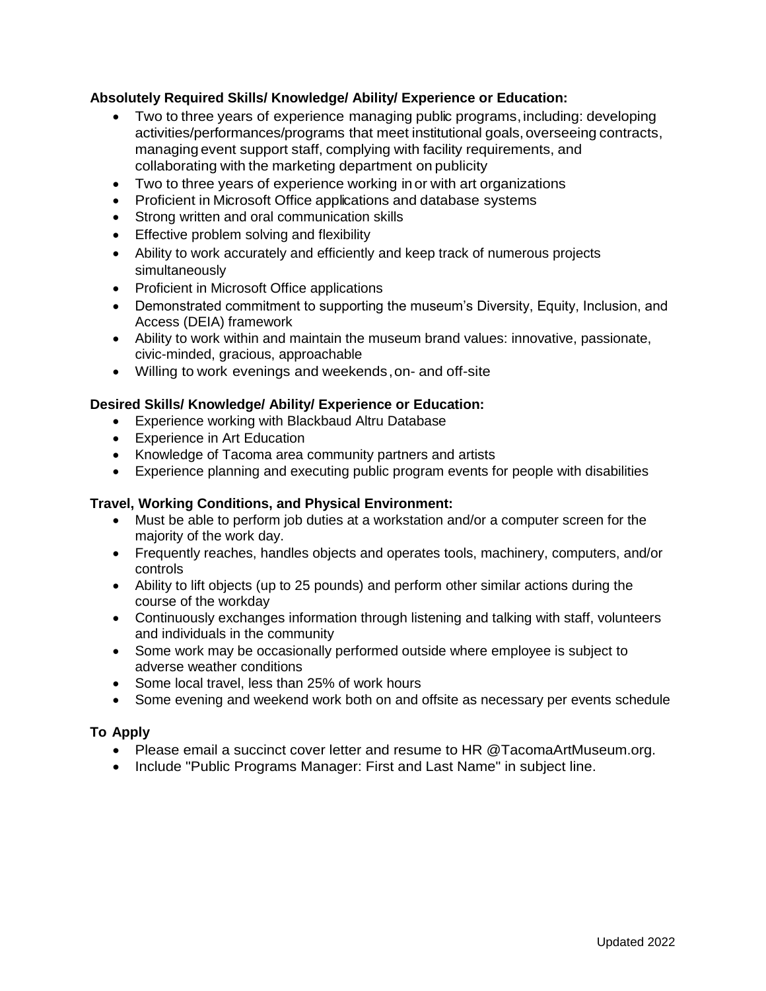# **Absolutely Required Skills/ Knowledge/ Ability/ Experience or Education:**

- Two to three years of experience managing public programs, including: developing activities/performances/programs that meet institutional goals, overseeing contracts, managing event support staff, complying with facility requirements, and collaborating with the marketing department on publicity
- Two to three years of experience working inor with art organizations
- Proficient in Microsoft Office applications and database systems
- Strong written and oral communication skills
- Effective problem solving and flexibility
- Ability to work accurately and efficiently and keep track of numerous projects simultaneously
- Proficient in Microsoft Office applications
- Demonstrated commitment to supporting the museum's Diversity, Equity, Inclusion, and Access (DEIA) framework
- Ability to work within and maintain the museum brand values: innovative, passionate, civic-minded, gracious, approachable
- Willing to work evenings and weekends,on- and off-site

## **Desired Skills/ Knowledge/ Ability/ Experience or Education:**

- Experience working with Blackbaud Altru Database
- Experience in Art Education
- Knowledge of Tacoma area community partners and artists
- Experience planning and executing public program events for people with disabilities

#### **Travel, Working Conditions, and Physical Environment:**

- Must be able to perform job duties at a workstation and/or a computer screen for the majority of the work day.
- Frequently reaches, handles objects and operates tools, machinery, computers, and/or controls
- Ability to lift objects (up to 25 pounds) and perform other similar actions during the course of the workday
- Continuously exchanges information through listening and talking with staff, volunteers and individuals in the community
- Some work may be occasionally performed outside where employee is subject to adverse weather conditions
- Some local travel, less than 25% of work hours
- Some evening and weekend work both on and offsite as necessary per events schedule

# **To Apply**

- Please email a succinct cover letter and resume to HR @TacomaArtMuseum.org.
- Include "Public Programs Manager: First and Last Name" in subject line.